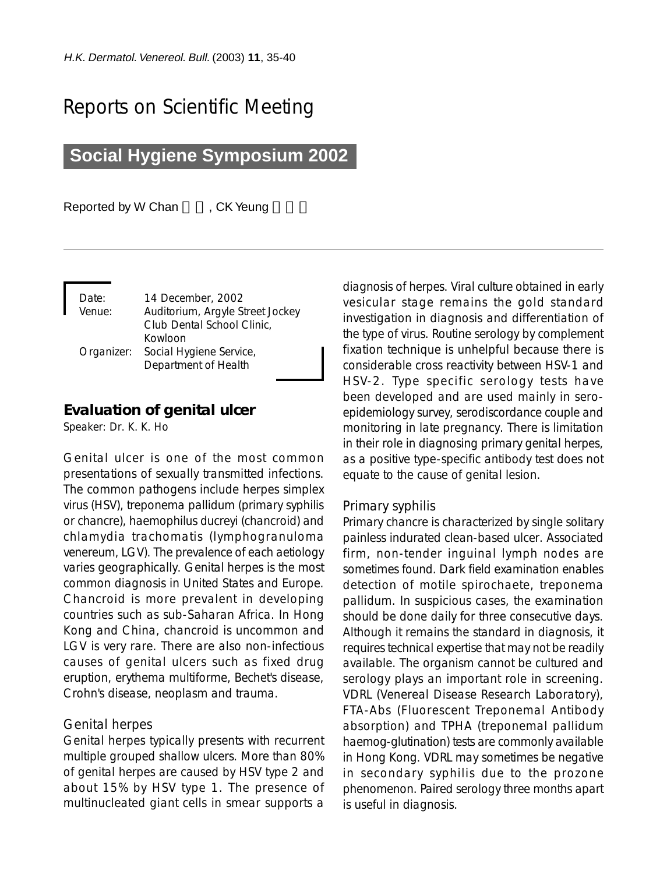# Reports on Scientific Meeting

## **Social Hygiene Symposium 2002**

Reported by W Chan , CK Yeung

| Date:      | 14 December, 2002                |
|------------|----------------------------------|
| Venue:     | Auditorium, Argyle Street Jockey |
|            | Club Dental School Clinic,       |
|            | Kowloon                          |
| Organizer: | Social Hygiene Service,          |
|            | Department of Health             |

## **Evaluation of genital ulcer**

Speaker: Dr. K. K. Ho

Genital ulcer is one of the most common presentations of sexually transmitted infections. The common pathogens include herpes simplex virus (HSV), treponema pallidum (primary syphilis or chancre), haemophilus ducreyi (chancroid) and chlamydia trachomatis (lymphogranuloma venereum, LGV). The prevalence of each aetiology varies geographically. Genital herpes is the most common diagnosis in United States and Europe. Chancroid is more prevalent in developing countries such as sub-Saharan Africa. In Hong Kong and China, chancroid is uncommon and LGV is very rare. There are also non-infectious causes of genital ulcers such as fixed drug eruption, erythema multiforme, Bechet's disease, Crohn's disease, neoplasm and trauma.

### *Genital herpes*

Genital herpes typically presents with recurrent multiple grouped shallow ulcers. More than 80% of genital herpes are caused by HSV type 2 and about 15% by HSV type 1. The presence of multinucleated giant cells in smear supports a diagnosis of herpes. Viral culture obtained in early vesicular stage remains the gold standard investigation in diagnosis and differentiation of the type of virus. Routine serology by complement fixation technique is unhelpful because there is considerable cross reactivity between HSV-1 and HSV-2. Type specific serology tests have been developed and are used mainly in seroepidemiology survey, serodiscordance couple and monitoring in late pregnancy. There is limitation in their role in diagnosing primary genital herpes, as a positive type-specific antibody test does not equate to the cause of genital lesion.

#### *Primary syphilis*

Primary chancre is characterized by single solitary painless indurated clean-based ulcer. Associated firm, non-tender inguinal lymph nodes are sometimes found. Dark field examination enables detection of motile spirochaete, treponema pallidum. In suspicious cases, the examination should be done daily for three consecutive days. Although it remains the standard in diagnosis, it requires technical expertise that may not be readily available. The organism cannot be cultured and serology plays an important role in screening. VDRL (Venereal Disease Research Laboratory), FTA-Abs (Fluorescent Treponemal Antibody absorption) and TPHA (treponemal pallidum haemog-glutination) tests are commonly available in Hong Kong. VDRL may sometimes be negative in secondary syphilis due to the prozone phenomenon. Paired serology three months apart is useful in diagnosis.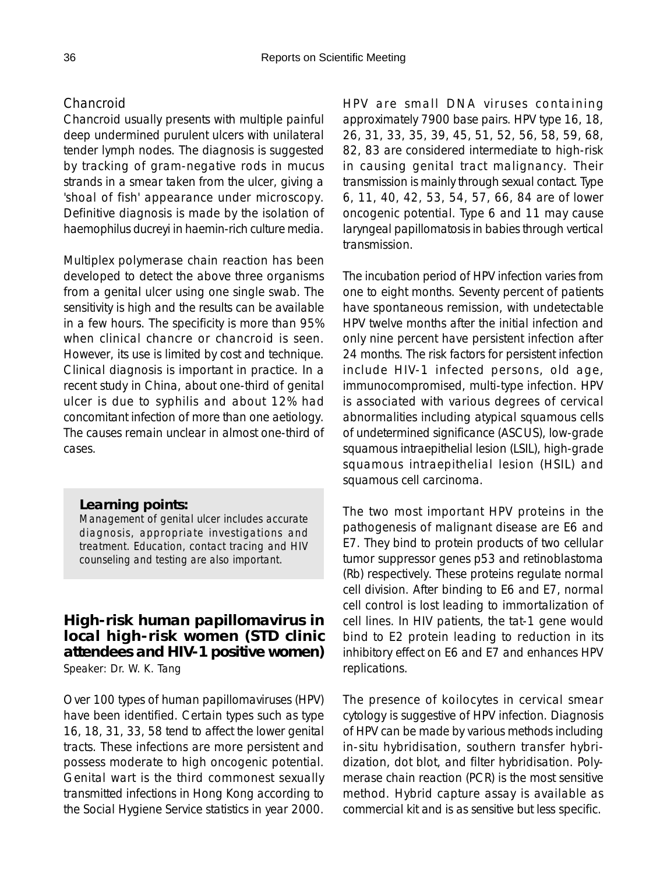## *Chancroid*

Chancroid usually presents with multiple painful deep undermined purulent ulcers with unilateral tender lymph nodes. The diagnosis is suggested by tracking of gram-negative rods in mucus strands in a smear taken from the ulcer, giving a 'shoal of fish' appearance under microscopy. Definitive diagnosis is made by the isolation of haemophilus ducreyi in haemin-rich culture media.

Multiplex polymerase chain reaction has been developed to detect the above three organisms from a genital ulcer using one single swab. The sensitivity is high and the results can be available in a few hours. The specificity is more than 95% when clinical chancre or chancroid is seen. However, its use is limited by cost and technique. Clinical diagnosis is important in practice. In a recent study in China, about one-third of genital ulcer is due to syphilis and about 12% had concomitant infection of more than one aetiology. The causes remain unclear in almost one-third of cases.

### *Learning points:*

*Management of genital ulcer includes accurate diagnosis, appropriate investigations and treatment. Education, contact tracing and HIV counseling and testing are also important.*

## **High-risk human papillomavirus in local high-risk women (STD clinic attendees and HIV-1 positive women)** Speaker: Dr. W. K. Tang

Over 100 types of human papillomaviruses (HPV) have been identified. Certain types such as type 16, 18, 31, 33, 58 tend to affect the lower genital tracts. These infections are more persistent and possess moderate to high oncogenic potential. Genital wart is the third commonest sexually transmitted infections in Hong Kong according to the Social Hygiene Service statistics in year 2000.

HPV are small DNA viruses containing approximately 7900 base pairs. HPV type 16, 18, 26, 31, 33, 35, 39, 45, 51, 52, 56, 58, 59, 68, 82, 83 are considered intermediate to high-risk in causing genital tract malignancy. Their transmission is mainly through sexual contact. Type 6, 11, 40, 42, 53, 54, 57, 66, 84 are of lower oncogenic potential. Type 6 and 11 may cause laryngeal papillomatosis in babies through vertical transmission.

The incubation period of HPV infection varies from one to eight months. Seventy percent of patients have spontaneous remission, with undetectable HPV twelve months after the initial infection and only nine percent have persistent infection after 24 months. The risk factors for persistent infection include HIV-1 infected persons, old age, immunocompromised, multi-type infection. HPV is associated with various degrees of cervical abnormalities including atypical squamous cells of undetermined significance (ASCUS), low-grade squamous intraepithelial lesion (LSIL), high-grade squamous intraepithelial lesion (HSIL) and squamous cell carcinoma.

The two most important HPV proteins in the pathogenesis of malignant disease are E6 and E7. They bind to protein products of two cellular tumor suppressor genes p53 and retinoblastoma (Rb) respectively. These proteins regulate normal cell division. After binding to E6 and E7, normal cell control is lost leading to immortalization of cell lines. In HIV patients, the tat-1 gene would bind to E2 protein leading to reduction in its inhibitory effect on E6 and E7 and enhances HPV replications.

The presence of koilocytes in cervical smear cytology is suggestive of HPV infection. Diagnosis of HPV can be made by various methods including in-situ hybridisation, southern transfer hybridization, dot blot, and filter hybridisation. Polymerase chain reaction (PCR) is the most sensitive method. Hybrid capture assay is available as commercial kit and is as sensitive but less specific.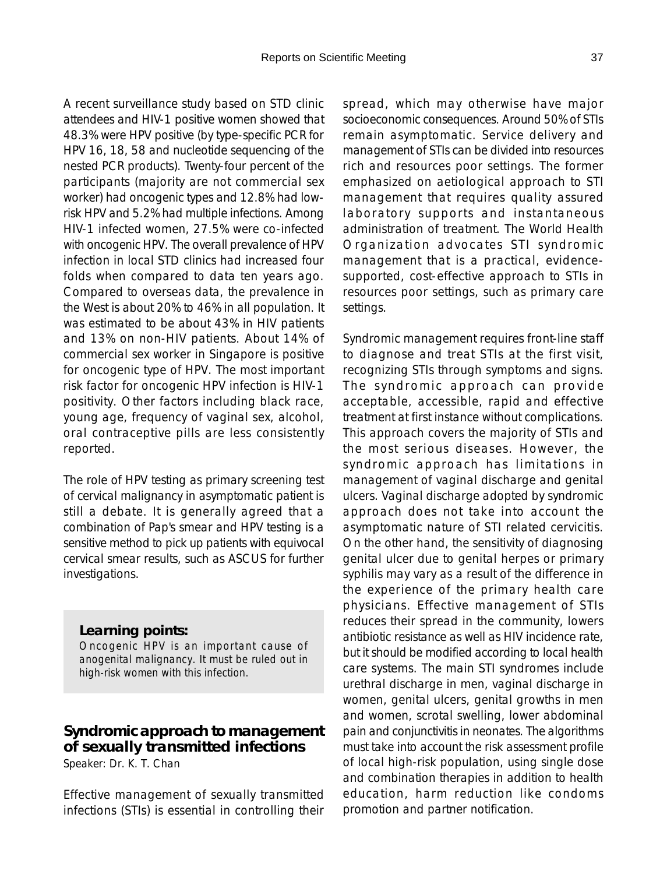A recent surveillance study based on STD clinic attendees and HIV-1 positive women showed that 48.3% were HPV positive (by type-specific PCR for HPV 16, 18, 58 and nucleotide sequencing of the nested PCR products). Twenty-four percent of the participants (majority are not commercial sex worker) had oncogenic types and 12.8% had lowrisk HPV and 5.2% had multiple infections. Among HIV-1 infected women, 27.5% were co-infected with oncogenic HPV. The overall prevalence of HPV infection in local STD clinics had increased four folds when compared to data ten years ago. Compared to overseas data, the prevalence in the West is about 20% to 46% in all population. It was estimated to be about 43% in HIV patients and 13% on non-HIV patients. About 14% of commercial sex worker in Singapore is positive for oncogenic type of HPV. The most important risk factor for oncogenic HPV infection is HIV-1 positivity. Other factors including black race, young age, frequency of vaginal sex, alcohol, oral contraceptive pills are less consistently reported.

The role of HPV testing as primary screening test of cervical malignancy in asymptomatic patient is still a debate. It is generally agreed that a combination of Pap's smear and HPV testing is a sensitive method to pick up patients with equivocal cervical smear results, such as ASCUS for further investigations.

## *Learning points:*

*Oncogenic HPV is an important cause of anogenital malignancy. It must be ruled out in high-risk women with this infection.*

## **Syndromic approach to management of sexually transmitted infections**

Speaker: Dr. K. T. Chan

Effective management of sexually transmitted infections (STIs) is essential in controlling their spread, which may otherwise have major socioeconomic consequences. Around 50% of STIs remain asymptomatic. Service delivery and management of STIs can be divided into resources rich and resources poor settings. The former emphasized on aetiological approach to STI management that requires quality assured laboratory supports and instantaneous administration of treatment. The World Health Organization advocates STI syndromic management that is a practical, evidencesupported, cost-effective approach to STIs in resources poor settings, such as primary care settings.

Syndromic management requires front-line staff to diagnose and treat STIs at the first visit, recognizing STIs through symptoms and signs. The syndromic approach can provide acceptable, accessible, rapid and effective treatment at first instance without complications. This approach covers the majority of STIs and the most serious diseases. However, the syndromic approach has limitations in management of vaginal discharge and genital ulcers. Vaginal discharge adopted by syndromic approach does not take into account the asymptomatic nature of STI related cervicitis. On the other hand, the sensitivity of diagnosing genital ulcer due to genital herpes or primary syphilis may vary as a result of the difference in the experience of the primary health care physicians. Effective management of STIs reduces their spread in the community, lowers antibiotic resistance as well as HIV incidence rate, but it should be modified according to local health care systems. The main STI syndromes include urethral discharge in men, vaginal discharge in women, genital ulcers, genital growths in men and women, scrotal swelling, lower abdominal pain and conjunctivitis in neonates. The algorithms must take into account the risk assessment profile of local high-risk population, using single dose and combination therapies in addition to health education, harm reduction like condoms promotion and partner notification.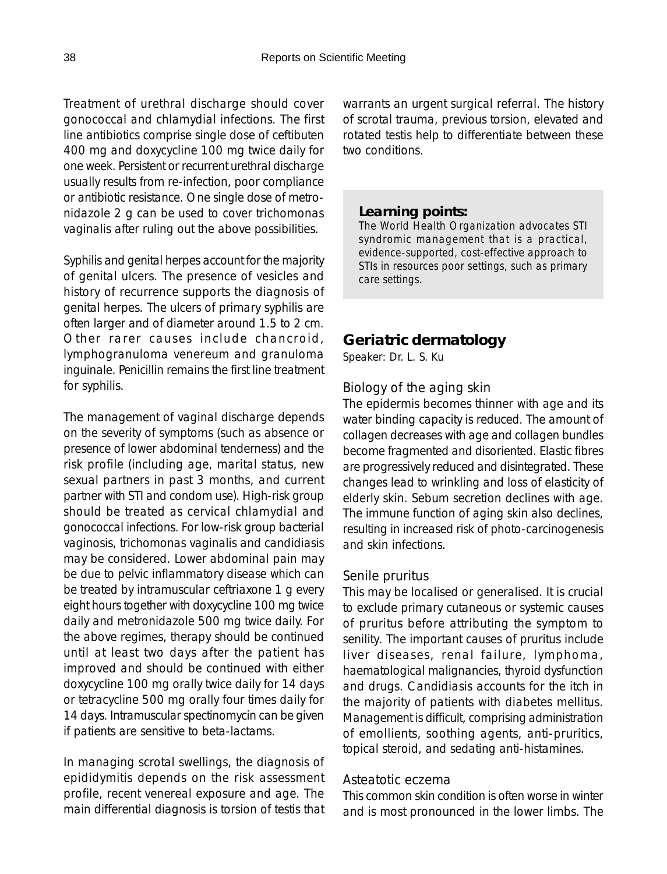Treatment of urethral discharge should cover gonococcal and chlamydial infections. The first line antibiotics comprise single dose of ceftibuten 400 mg and doxycycline 100 mg twice daily for one week. Persistent or recurrent urethral discharge usually results from re-infection, poor compliance or antibiotic resistance. One single dose of metronidazole 2 g can be used to cover trichomonas vaginalis after ruling out the above possibilities.

Syphilis and genital herpes account for the majority of genital ulcers. The presence of vesicles and history of recurrence supports the diagnosis of genital herpes. The ulcers of primary syphilis are often larger and of diameter around 1.5 to 2 cm. Other rarer causes include chancroid, lymphogranuloma venereum and granuloma inguinale. Penicillin remains the first line treatment for syphilis.

The management of vaginal discharge depends on the severity of symptoms (such as absence or presence of lower abdominal tenderness) and the risk profile (including age, marital status, new sexual partners in past 3 months, and current partner with STI and condom use). High-risk group should be treated as cervical chlamydial and gonococcal infections. For low-risk group bacterial vaginosis, trichomonas vaginalis and candidiasis may be considered. Lower abdominal pain may be due to pelvic inflammatory disease which can be treated by intramuscular ceftriaxone 1 g every eight hours together with doxycycline 100 mg twice daily and metronidazole 500 mg twice daily. For the above regimes, therapy should be continued until at least two days after the patient has improved and should be continued with either doxycycline 100 mg orally twice daily for 14 days or tetracycline 500 mg orally four times daily for 14 days. Intramuscular spectinomycin can be given if patients are sensitive to beta-lactams.

In managing scrotal swellings, the diagnosis of epididymitis depends on the risk assessment profile, recent venereal exposure and age. The main differential diagnosis is torsion of testis that warrants an urgent surgical referral. The history of scrotal trauma, previous torsion, elevated and rotated testis help to differentiate between these two conditions.

#### *Learning points:*

*The World Health Organization advocates STI syndromic management that is a practical, evidence-supported, cost-effective approach to STIs in resources poor settings, such as primary care settings.*

## **Geriatric dermatology**

Speaker: Dr. L. S. Ku

## *Biology of the aging skin*

The epidermis becomes thinner with age and its water binding capacity is reduced. The amount of collagen decreases with age and collagen bundles become fragmented and disoriented. Elastic fibres are progressively reduced and disintegrated. These changes lead to wrinkling and loss of elasticity of elderly skin. Sebum secretion declines with age. The immune function of aging skin also declines, resulting in increased risk of photo-carcinogenesis and skin infections.

#### *Senile pruritus*

This may be localised or generalised. It is crucial to exclude primary cutaneous or systemic causes of pruritus before attributing the symptom to senility. The important causes of pruritus include liver diseases, renal failure, lymphoma, haematological malignancies, thyroid dysfunction and drugs. Candidiasis accounts for the itch in the majority of patients with diabetes mellitus. Management is difficult, comprising administration of emollients, soothing agents, anti-pruritics, topical steroid, and sedating anti-histamines.

#### *Asteatotic eczema*

This common skin condition is often worse in winter and is most pronounced in the lower limbs. The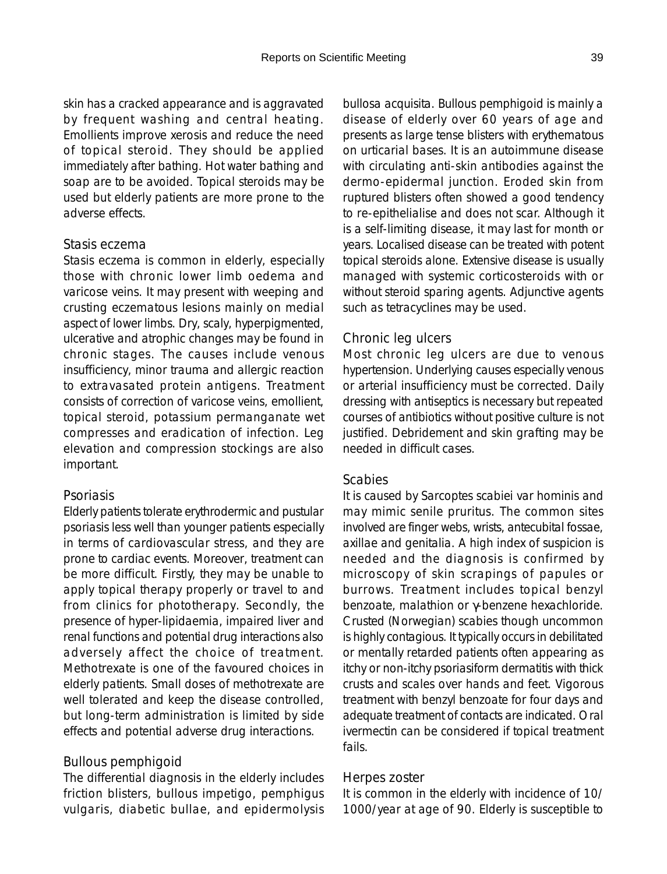skin has a cracked appearance and is aggravated by frequent washing and central heating. Emollients improve xerosis and reduce the need of topical steroid. They should be applied immediately after bathing. Hot water bathing and soap are to be avoided. Topical steroids may be used but elderly patients are more prone to the adverse effects.

## *Stasis eczema*

Stasis eczema is common in elderly, especially those with chronic lower limb oedema and varicose veins. It may present with weeping and crusting eczematous lesions mainly on medial aspect of lower limbs. Dry, scaly, hyperpigmented, ulcerative and atrophic changes may be found in chronic stages. The causes include venous insufficiency, minor trauma and allergic reaction to extravasated protein antigens. Treatment consists of correction of varicose veins, emollient, topical steroid, potassium permanganate wet compresses and eradication of infection. Leg elevation and compression stockings are also important.

#### *Psoriasis*

Elderly patients tolerate erythrodermic and pustular psoriasis less well than younger patients especially in terms of cardiovascular stress, and they are prone to cardiac events. Moreover, treatment can be more difficult. Firstly, they may be unable to apply topical therapy properly or travel to and from clinics for phototherapy. Secondly, the presence of hyper-lipidaemia, impaired liver and renal functions and potential drug interactions also adversely affect the choice of treatment. Methotrexate is one of the favoured choices in elderly patients. Small doses of methotrexate are well tolerated and keep the disease controlled, but long-term administration is limited by side effects and potential adverse drug interactions.

### *Bullous pemphigoid*

The differential diagnosis in the elderly includes friction blisters, bullous impetigo, pemphigus vulgaris, diabetic bullae, and epidermolysis

bullosa acquisita. Bullous pemphigoid is mainly a disease of elderly over 60 years of age and presents as large tense blisters with erythematous on urticarial bases. It is an autoimmune disease with circulating anti-skin antibodies against the dermo-epidermal junction. Eroded skin from ruptured blisters often showed a good tendency to re-epithelialise and does not scar. Although it is a self-limiting disease, it may last for month or years. Localised disease can be treated with potent topical steroids alone. Extensive disease is usually managed with systemic corticosteroids with or without steroid sparing agents. Adjunctive agents such as tetracyclines may be used.

## *Chronic leg ulcers*

Most chronic leg ulcers are due to venous hypertension. Underlying causes especially venous or arterial insufficiency must be corrected. Daily dressing with antiseptics is necessary but repeated courses of antibiotics without positive culture is not justified. Debridement and skin grafting may be needed in difficult cases.

### *Scabies*

It is caused by Sarcoptes scabiei var hominis and may mimic senile pruritus. The common sites involved are finger webs, wrists, antecubital fossae, axillae and genitalia. A high index of suspicion is needed and the diagnosis is confirmed by microscopy of skin scrapings of papules or burrows. Treatment includes topical benzyl benzoate, malathion or γ-benzene hexachloride. Crusted (Norwegian) scabies though uncommon is highly contagious. It typically occurs in debilitated or mentally retarded patients often appearing as itchy or non-itchy psoriasiform dermatitis with thick crusts and scales over hands and feet. Vigorous treatment with benzyl benzoate for four days and adequate treatment of contacts are indicated. Oral ivermectin can be considered if topical treatment fails.

#### *Herpes zoster*

It is common in the elderly with incidence of 10/ 1000/year at age of 90. Elderly is susceptible to